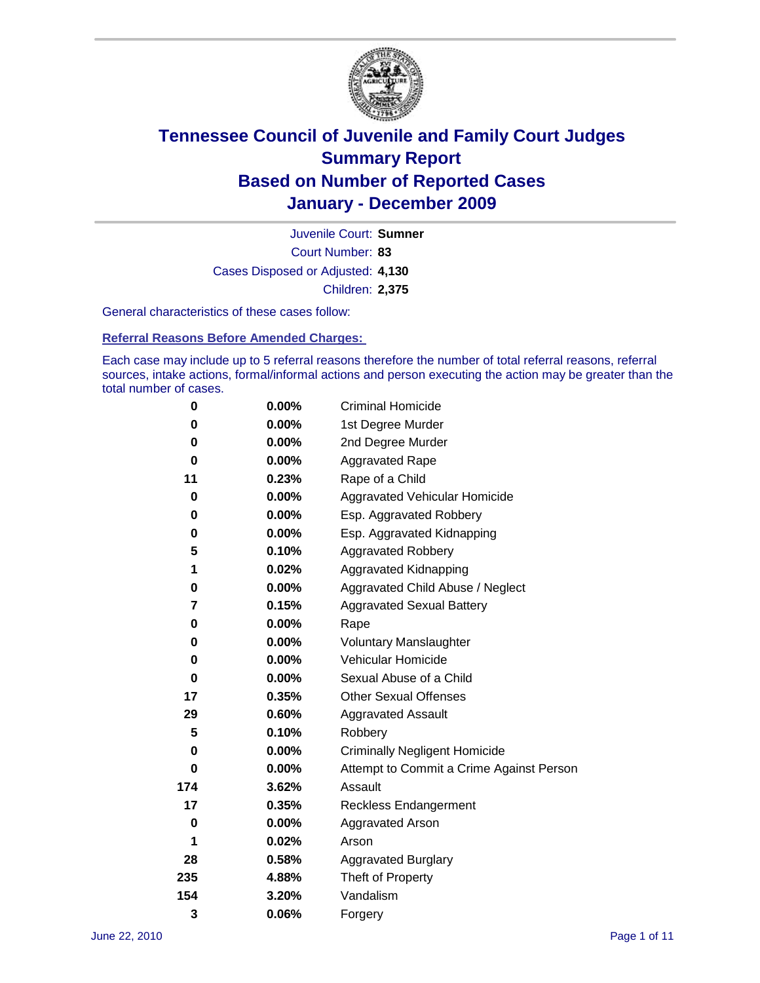

Court Number: **83** Juvenile Court: **Sumner** Cases Disposed or Adjusted: **4,130** Children: **2,375**

General characteristics of these cases follow:

**Referral Reasons Before Amended Charges:** 

Each case may include up to 5 referral reasons therefore the number of total referral reasons, referral sources, intake actions, formal/informal actions and person executing the action may be greater than the total number of cases.

| 0   | $0.00\%$ | <b>Criminal Homicide</b>                 |
|-----|----------|------------------------------------------|
| 0   | 0.00%    | 1st Degree Murder                        |
| 0   | $0.00\%$ | 2nd Degree Murder                        |
| 0   | $0.00\%$ | <b>Aggravated Rape</b>                   |
| 11  | 0.23%    | Rape of a Child                          |
| 0   | 0.00%    | Aggravated Vehicular Homicide            |
| 0   | 0.00%    | Esp. Aggravated Robbery                  |
| 0   | $0.00\%$ | Esp. Aggravated Kidnapping               |
| 5   | 0.10%    | <b>Aggravated Robbery</b>                |
| 1   | 0.02%    | Aggravated Kidnapping                    |
| 0   | 0.00%    | Aggravated Child Abuse / Neglect         |
| 7   | 0.15%    | <b>Aggravated Sexual Battery</b>         |
| 0   | 0.00%    | Rape                                     |
| 0   | $0.00\%$ | <b>Voluntary Manslaughter</b>            |
| 0   | 0.00%    | Vehicular Homicide                       |
| 0   | 0.00%    | Sexual Abuse of a Child                  |
| 17  | 0.35%    | <b>Other Sexual Offenses</b>             |
| 29  | 0.60%    | <b>Aggravated Assault</b>                |
| 5   | 0.10%    | Robbery                                  |
| 0   | 0.00%    | <b>Criminally Negligent Homicide</b>     |
| 0   | $0.00\%$ | Attempt to Commit a Crime Against Person |
| 174 | 3.62%    | Assault                                  |
| 17  | 0.35%    | <b>Reckless Endangerment</b>             |
| 0   | 0.00%    | <b>Aggravated Arson</b>                  |
| 1   | 0.02%    | Arson                                    |
| 28  | 0.58%    | <b>Aggravated Burglary</b>               |
| 235 | 4.88%    | Theft of Property                        |
| 154 | 3.20%    | Vandalism                                |
| 3   | 0.06%    | Forgery                                  |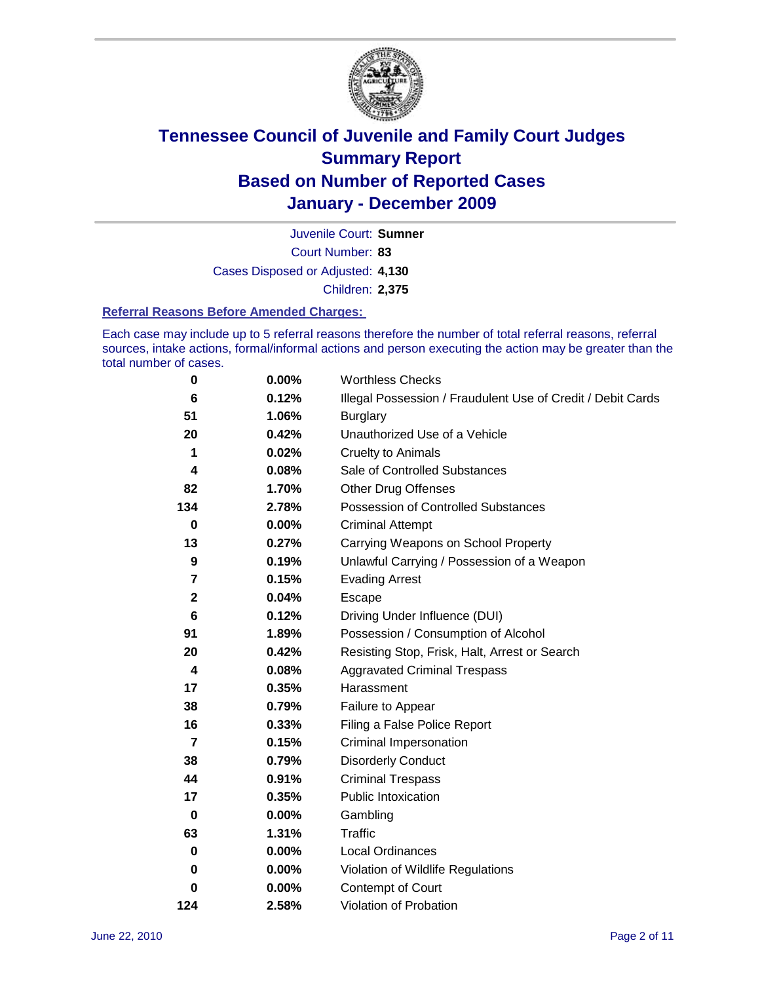

Court Number: **83** Juvenile Court: **Sumner** Cases Disposed or Adjusted: **4,130** Children: **2,375**

#### **Referral Reasons Before Amended Charges:**

Each case may include up to 5 referral reasons therefore the number of total referral reasons, referral sources, intake actions, formal/informal actions and person executing the action may be greater than the total number of cases.

| $\pmb{0}$        | 0.00%    | <b>Worthless Checks</b>                                     |
|------------------|----------|-------------------------------------------------------------|
| 6                | 0.12%    | Illegal Possession / Fraudulent Use of Credit / Debit Cards |
| 51               | 1.06%    | <b>Burglary</b>                                             |
| 20               | 0.42%    | Unauthorized Use of a Vehicle                               |
| 1                | 0.02%    | <b>Cruelty to Animals</b>                                   |
| 4                | 0.08%    | Sale of Controlled Substances                               |
| 82               | 1.70%    | <b>Other Drug Offenses</b>                                  |
| 134              | 2.78%    | Possession of Controlled Substances                         |
| $\bf{0}$         | $0.00\%$ | <b>Criminal Attempt</b>                                     |
| 13               | 0.27%    | Carrying Weapons on School Property                         |
| $\boldsymbol{9}$ | 0.19%    | Unlawful Carrying / Possession of a Weapon                  |
| 7                | 0.15%    | <b>Evading Arrest</b>                                       |
| $\mathbf{2}$     | 0.04%    | Escape                                                      |
| 6                | 0.12%    | Driving Under Influence (DUI)                               |
| 91               | 1.89%    | Possession / Consumption of Alcohol                         |
| 20               | 0.42%    | Resisting Stop, Frisk, Halt, Arrest or Search               |
| 4                | 0.08%    | <b>Aggravated Criminal Trespass</b>                         |
| 17               | 0.35%    | Harassment                                                  |
| 38               | 0.79%    | Failure to Appear                                           |
| 16               | 0.33%    | Filing a False Police Report                                |
| $\overline{7}$   | 0.15%    | Criminal Impersonation                                      |
| 38               | 0.79%    | <b>Disorderly Conduct</b>                                   |
| 44               | 0.91%    | <b>Criminal Trespass</b>                                    |
| 17               | 0.35%    | <b>Public Intoxication</b>                                  |
| $\mathbf 0$      | $0.00\%$ | Gambling                                                    |
| 63               | 1.31%    | <b>Traffic</b>                                              |
| 0                | $0.00\%$ | <b>Local Ordinances</b>                                     |
| 0                | $0.00\%$ | Violation of Wildlife Regulations                           |
| 0                | $0.00\%$ | Contempt of Court                                           |
| 124              | 2.58%    | Violation of Probation                                      |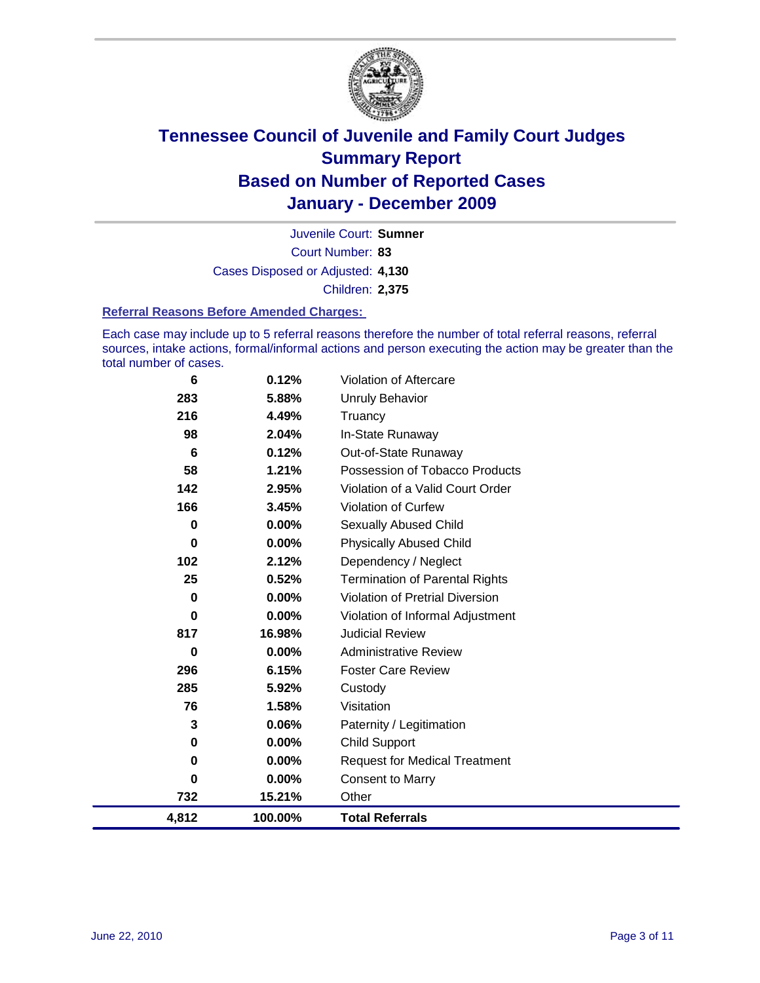

Court Number: **83** Juvenile Court: **Sumner** Cases Disposed or Adjusted: **4,130** Children: **2,375**

#### **Referral Reasons Before Amended Charges:**

Each case may include up to 5 referral reasons therefore the number of total referral reasons, referral sources, intake actions, formal/informal actions and person executing the action may be greater than the total number of cases.

| 6           | 0.12%    | Violation of Aftercare                 |
|-------------|----------|----------------------------------------|
| 283         | 5.88%    | <b>Unruly Behavior</b>                 |
| 216         | 4.49%    | Truancy                                |
| 98          | 2.04%    | In-State Runaway                       |
| 6           | 0.12%    | Out-of-State Runaway                   |
| 58          | 1.21%    | Possession of Tobacco Products         |
| 142         | 2.95%    | Violation of a Valid Court Order       |
| 166         | 3.45%    | <b>Violation of Curfew</b>             |
| $\mathbf 0$ | $0.00\%$ | Sexually Abused Child                  |
| 0           | 0.00%    | <b>Physically Abused Child</b>         |
| 102         | 2.12%    | Dependency / Neglect                   |
| 25          | 0.52%    | <b>Termination of Parental Rights</b>  |
| $\mathbf 0$ | 0.00%    | <b>Violation of Pretrial Diversion</b> |
| $\mathbf 0$ | 0.00%    | Violation of Informal Adjustment       |
| 817         | 16.98%   | <b>Judicial Review</b>                 |
| $\bf{0}$    | $0.00\%$ | <b>Administrative Review</b>           |
| 296         | 6.15%    | <b>Foster Care Review</b>              |
| 285         | 5.92%    | Custody                                |
| 76          | 1.58%    | Visitation                             |
| 3           | $0.06\%$ | Paternity / Legitimation               |
| 0           | $0.00\%$ | <b>Child Support</b>                   |
| $\mathbf 0$ | $0.00\%$ | <b>Request for Medical Treatment</b>   |
| 0           | $0.00\%$ | <b>Consent to Marry</b>                |
| 732         | 15.21%   | Other                                  |
| 4,812       | 100.00%  | <b>Total Referrals</b>                 |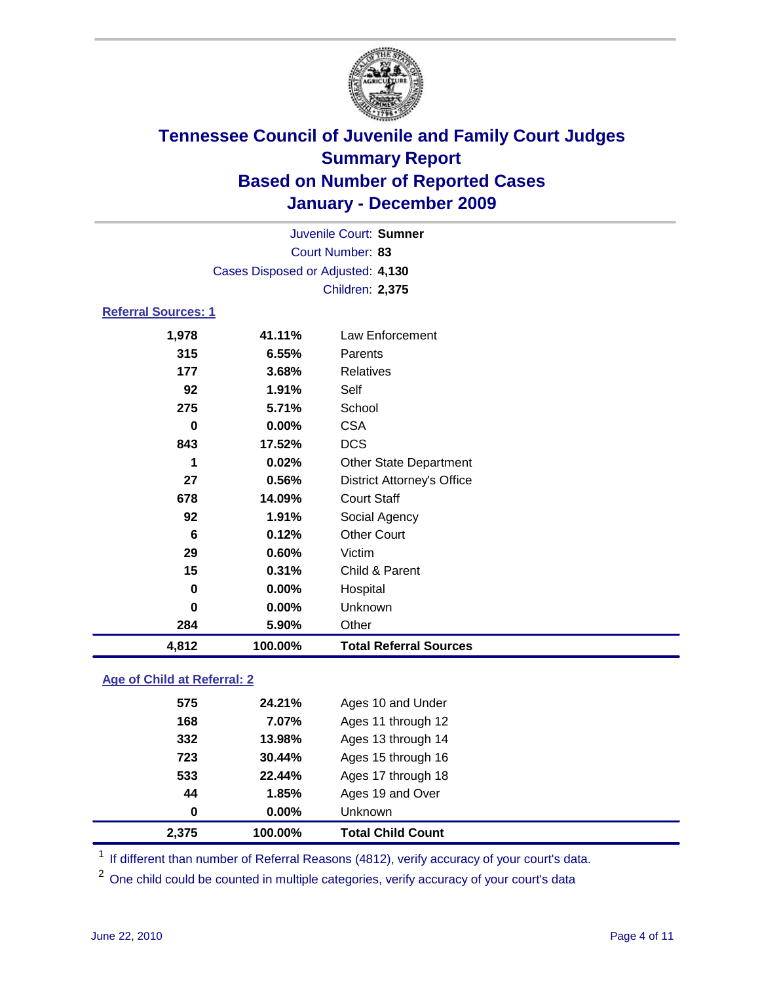

| 4,812                      | 100.00%          | <b>Total Referral Sources</b>     |  |
|----------------------------|------------------|-----------------------------------|--|
| 284                        | 5.90%            | Other                             |  |
| 0                          | 0.00%            | Unknown                           |  |
| 0                          | $0.00\%$         | Hospital                          |  |
| 15                         | 0.31%            | Child & Parent                    |  |
| 29                         | 0.60%            | Victim                            |  |
| 6                          | 0.12%            | <b>Other Court</b>                |  |
| 92                         | 1.91%            | Social Agency                     |  |
| 678                        | 14.09%           | <b>Court Staff</b>                |  |
| 27                         | 0.56%            | <b>District Attorney's Office</b> |  |
| 1                          | 0.02%            | <b>Other State Department</b>     |  |
| 843                        | 17.52%           | <b>DCS</b>                        |  |
| 0                          | 0.00%            | <b>CSA</b>                        |  |
| 275                        | 5.71%            | School                            |  |
| 92                         | 1.91%            | Self                              |  |
| 177                        | 3.68%            | <b>Relatives</b>                  |  |
| 315                        | 6.55%            | Parents                           |  |
| 1,978                      | 41.11%           | <b>Law Enforcement</b>            |  |
| <b>Referral Sources: 1</b> |                  |                                   |  |
|                            |                  | <b>Children: 2,375</b>            |  |
|                            |                  | Cases Disposed or Adjusted: 4,130 |  |
|                            | Court Number: 83 |                                   |  |
|                            |                  | Juvenile Court: Sumner            |  |
|                            |                  |                                   |  |

### **Age of Child at Referral: 2**

| 0   | $0.00\%$ | <b>Unknown</b>     |
|-----|----------|--------------------|
| 44  | 1.85%    | Ages 19 and Over   |
| 533 | 22.44%   | Ages 17 through 18 |
| 723 | 30.44%   | Ages 15 through 16 |
| 332 | 13.98%   | Ages 13 through 14 |
| 168 | 7.07%    | Ages 11 through 12 |
| 575 | 24.21%   | Ages 10 and Under  |
|     |          |                    |

<sup>1</sup> If different than number of Referral Reasons (4812), verify accuracy of your court's data.

<sup>2</sup> One child could be counted in multiple categories, verify accuracy of your court's data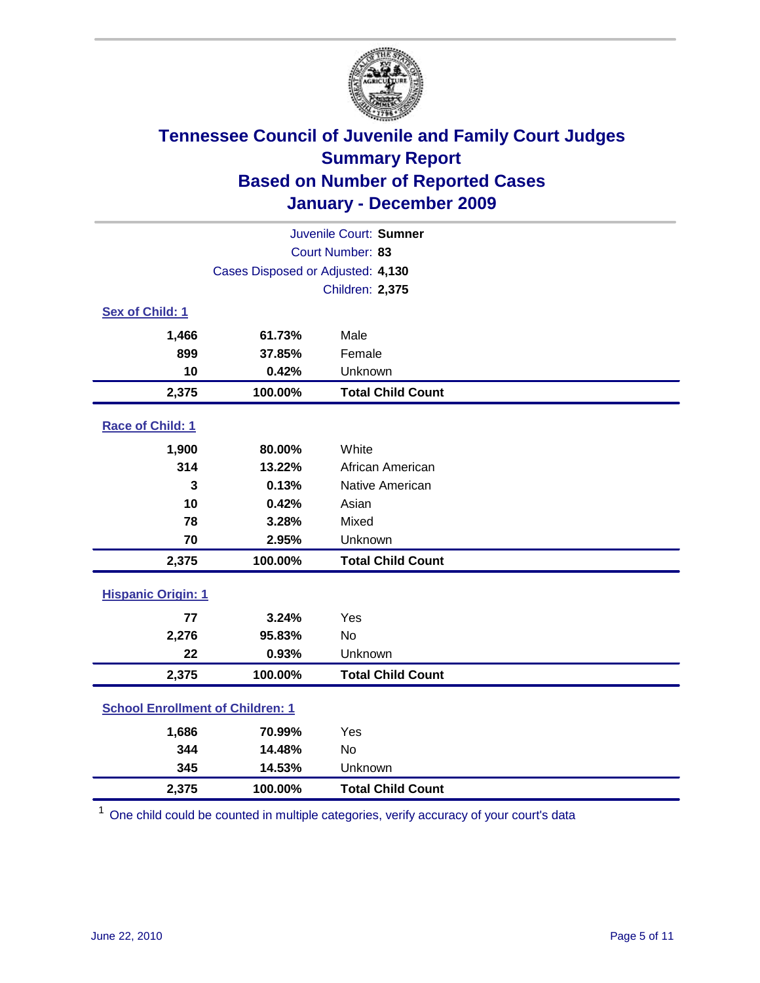

| Juvenile Court: Sumner                  |                                   |                          |  |  |
|-----------------------------------------|-----------------------------------|--------------------------|--|--|
|                                         | Court Number: 83                  |                          |  |  |
|                                         | Cases Disposed or Adjusted: 4,130 |                          |  |  |
|                                         |                                   | <b>Children: 2,375</b>   |  |  |
| Sex of Child: 1                         |                                   |                          |  |  |
| 1,466                                   | 61.73%                            | Male                     |  |  |
| 899                                     | 37.85%                            | Female                   |  |  |
| 10                                      | 0.42%                             | Unknown                  |  |  |
| 2,375                                   | 100.00%                           | <b>Total Child Count</b> |  |  |
| Race of Child: 1                        |                                   |                          |  |  |
| 1,900                                   | 80.00%                            | White                    |  |  |
| 314                                     | 13.22%                            | African American         |  |  |
| 3                                       | 0.13%                             | Native American          |  |  |
| 10                                      | 0.42%                             | Asian                    |  |  |
| 78                                      | 3.28%                             | Mixed                    |  |  |
| 70                                      | 2.95%                             | Unknown                  |  |  |
| 2,375                                   | 100.00%                           | <b>Total Child Count</b> |  |  |
| <b>Hispanic Origin: 1</b>               |                                   |                          |  |  |
| 77                                      | 3.24%                             | Yes                      |  |  |
| 2,276                                   | 95.83%                            | No                       |  |  |
| 22                                      | 0.93%                             | Unknown                  |  |  |
| 2,375                                   | 100.00%                           | <b>Total Child Count</b> |  |  |
| <b>School Enrollment of Children: 1</b> |                                   |                          |  |  |
| 1,686                                   | 70.99%                            | Yes                      |  |  |
| 344                                     | 14.48%                            | No                       |  |  |
| 345                                     | 14.53%                            | Unknown                  |  |  |
| 2,375                                   | 100.00%                           | <b>Total Child Count</b> |  |  |

<sup>1</sup> One child could be counted in multiple categories, verify accuracy of your court's data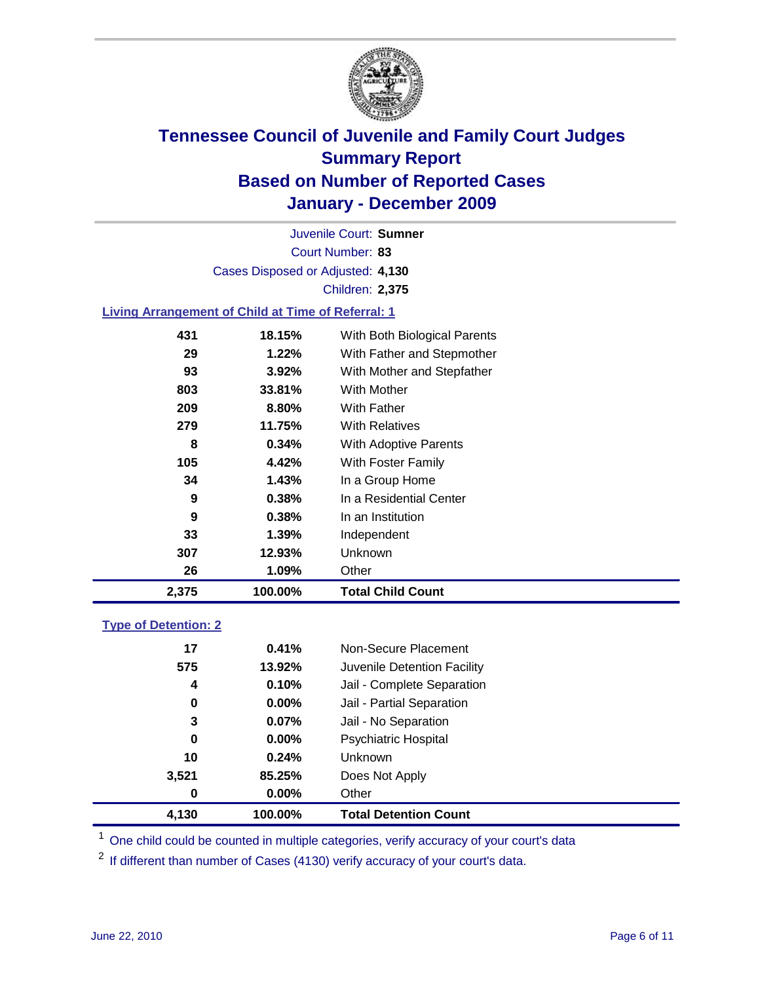

Court Number: **83** Juvenile Court: **Sumner** Cases Disposed or Adjusted: **4,130** Children: **2,375**

### **Living Arrangement of Child at Time of Referral: 1**

| 2,375 | 100.00%  | <b>Total Child Count</b>     |
|-------|----------|------------------------------|
| 26    | 1.09%    | Other                        |
| 307   | 12.93%   | Unknown                      |
| 33    | 1.39%    | Independent                  |
| 9     | 0.38%    | In an Institution            |
| 9     | 0.38%    | In a Residential Center      |
| 34    | 1.43%    | In a Group Home              |
| 105   | 4.42%    | With Foster Family           |
| 8     | 0.34%    | With Adoptive Parents        |
| 279   | 11.75%   | <b>With Relatives</b>        |
| 209   | 8.80%    | <b>With Father</b>           |
| 803   | 33.81%   | <b>With Mother</b>           |
| 93    | 3.92%    | With Mother and Stepfather   |
| 29    | $1.22\%$ | With Father and Stepmother   |
| 431   | 18.15%   | With Both Biological Parents |
|       |          |                              |

#### **Type of Detention: 2**

| 4,130 | 100.00%  | <b>Total Detention Count</b> |
|-------|----------|------------------------------|
| 0     | $0.00\%$ | Other                        |
| 3,521 | 85.25%   | Does Not Apply               |
| 10    | 0.24%    | Unknown                      |
| 0     | $0.00\%$ | Psychiatric Hospital         |
| 3     | 0.07%    | Jail - No Separation         |
| 0     | $0.00\%$ | Jail - Partial Separation    |
| 4     | 0.10%    | Jail - Complete Separation   |
| 575   | 13.92%   | Juvenile Detention Facility  |
| 17    | 0.41%    | Non-Secure Placement         |
|       |          |                              |

<sup>1</sup> One child could be counted in multiple categories, verify accuracy of your court's data

<sup>2</sup> If different than number of Cases (4130) verify accuracy of your court's data.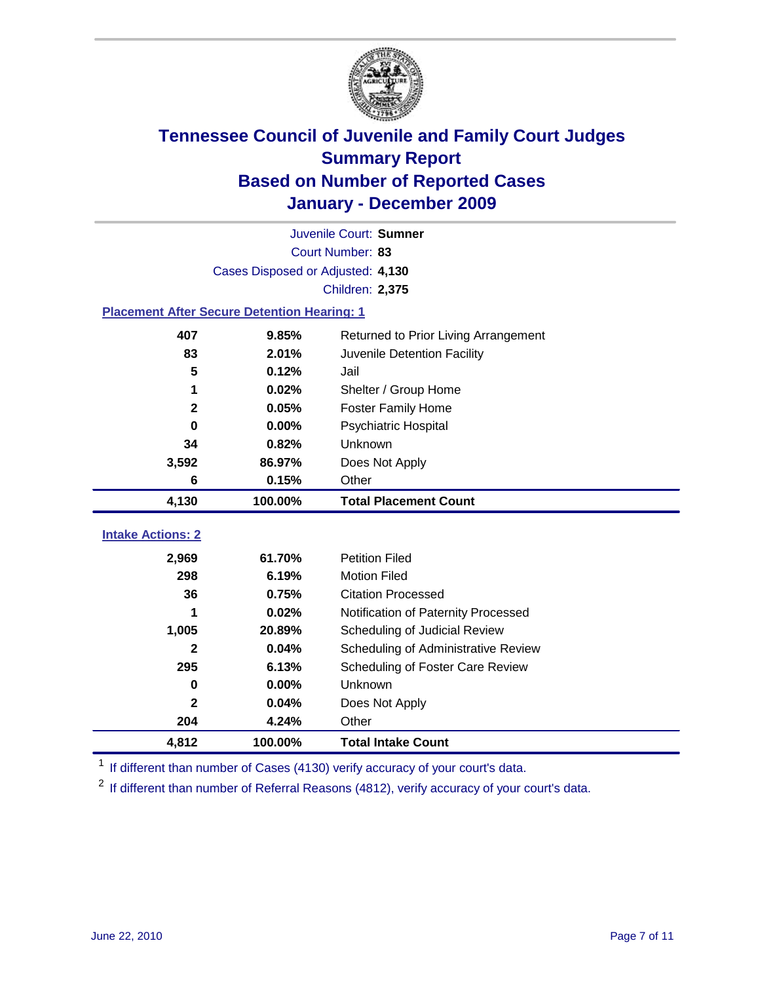

| Juvenile Court: Sumner                             |                                   |                                      |  |  |  |
|----------------------------------------------------|-----------------------------------|--------------------------------------|--|--|--|
|                                                    | Court Number: 83                  |                                      |  |  |  |
|                                                    | Cases Disposed or Adjusted: 4,130 |                                      |  |  |  |
|                                                    |                                   | Children: 2,375                      |  |  |  |
| <b>Placement After Secure Detention Hearing: 1</b> |                                   |                                      |  |  |  |
| 407                                                | 9.85%                             | Returned to Prior Living Arrangement |  |  |  |
| 83                                                 | 2.01%                             | Juvenile Detention Facility          |  |  |  |
| 5                                                  | 0.12%                             | Jail                                 |  |  |  |
| 1                                                  | 0.02%                             | Shelter / Group Home                 |  |  |  |
| $\mathbf{2}$                                       | 0.05%                             | <b>Foster Family Home</b>            |  |  |  |
| $\bf{0}$                                           | 0.00%                             | Psychiatric Hospital                 |  |  |  |
| 34                                                 | 0.82%                             | Unknown                              |  |  |  |
| 3,592                                              | 86.97%                            | Does Not Apply                       |  |  |  |
| 6                                                  | 0.15%                             | Other                                |  |  |  |
| 4,130                                              | 100.00%                           | <b>Total Placement Count</b>         |  |  |  |
|                                                    |                                   |                                      |  |  |  |
| <b>Intake Actions: 2</b>                           |                                   |                                      |  |  |  |
| 2,969                                              | 61.70%                            | <b>Petition Filed</b>                |  |  |  |
| 298                                                | 6.19%                             | <b>Motion Filed</b>                  |  |  |  |
| 36                                                 | 0.75%                             | <b>Citation Processed</b>            |  |  |  |
| 1                                                  | 0.02%                             | Notification of Paternity Processed  |  |  |  |
| 1,005                                              | 20.89%                            | Scheduling of Judicial Review        |  |  |  |
| 2                                                  | 0.04%                             | Scheduling of Administrative Review  |  |  |  |
| 295                                                | 6.13%                             | Scheduling of Foster Care Review     |  |  |  |
| $\bf{0}$                                           | 0.00%                             | Unknown                              |  |  |  |
| $\mathbf{2}$                                       | 0.04%                             | Does Not Apply                       |  |  |  |
| 204                                                | 4.24%                             | Other                                |  |  |  |
| 4,812                                              | 100.00%                           | <b>Total Intake Count</b>            |  |  |  |

<sup>1</sup> If different than number of Cases (4130) verify accuracy of your court's data.

<sup>2</sup> If different than number of Referral Reasons (4812), verify accuracy of your court's data.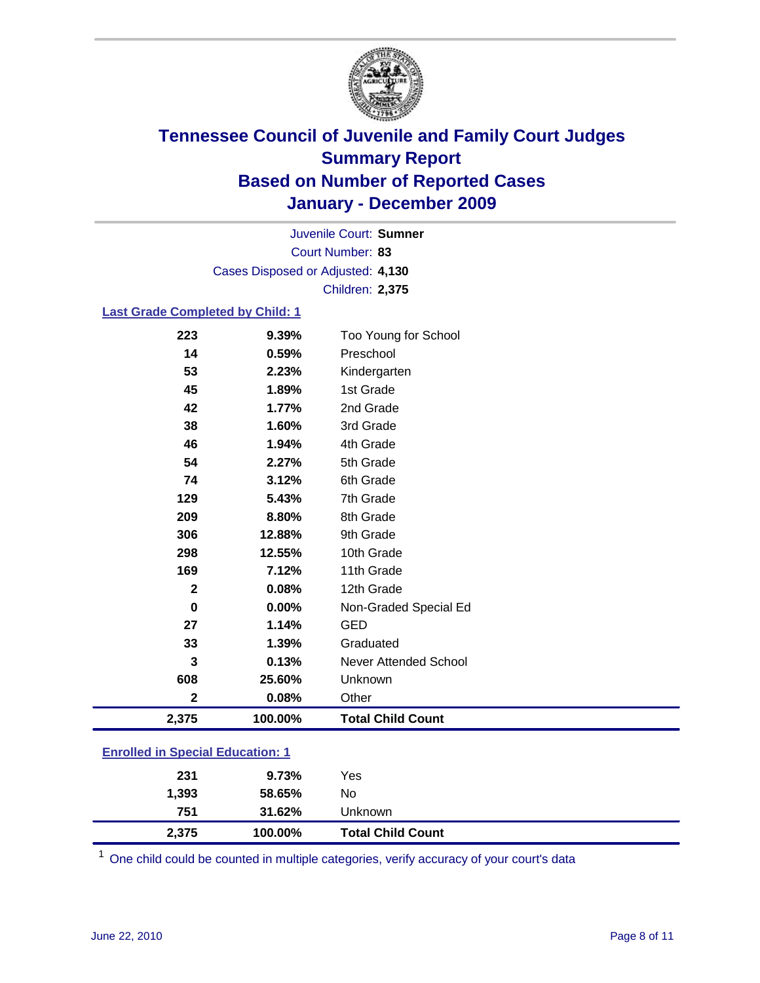

Court Number: **83** Juvenile Court: **Sumner** Cases Disposed or Adjusted: **4,130** Children: **2,375**

#### **Last Grade Completed by Child: 1**

| 223                                     | 9.39%   | Too Young for School     |  |
|-----------------------------------------|---------|--------------------------|--|
| 14                                      | 0.59%   | Preschool                |  |
| 53                                      | 2.23%   | Kindergarten             |  |
| 45                                      | 1.89%   | 1st Grade                |  |
| 42                                      | 1.77%   | 2nd Grade                |  |
| 38                                      | 1.60%   | 3rd Grade                |  |
| 46                                      | 1.94%   | 4th Grade                |  |
| 54                                      | 2.27%   | 5th Grade                |  |
| 74                                      | 3.12%   | 6th Grade                |  |
| 129                                     | 5.43%   | 7th Grade                |  |
| 209                                     | 8.80%   | 8th Grade                |  |
| 306                                     | 12.88%  | 9th Grade                |  |
| 298                                     | 12.55%  | 10th Grade               |  |
| 169                                     | 7.12%   | 11th Grade               |  |
| $\overline{\mathbf{2}}$                 | 0.08%   | 12th Grade               |  |
| 0                                       | 0.00%   | Non-Graded Special Ed    |  |
| 27                                      | 1.14%   | <b>GED</b>               |  |
| 33                                      | 1.39%   | Graduated                |  |
| 3                                       | 0.13%   | Never Attended School    |  |
| 608                                     | 25.60%  | Unknown                  |  |
| $\overline{2}$                          | 0.08%   | Other                    |  |
| 2,375                                   | 100.00% | <b>Total Child Count</b> |  |
| <b>Enrolled in Special Education: 1</b> |         |                          |  |

| 2,375 | 100.00% | <b>Total Child Count</b> |  |
|-------|---------|--------------------------|--|
| 751   | 31.62%  | Unknown                  |  |
| 1,393 | 58.65%  | No                       |  |
| 231   | 9.73%   | Yes                      |  |
|       |         |                          |  |

One child could be counted in multiple categories, verify accuracy of your court's data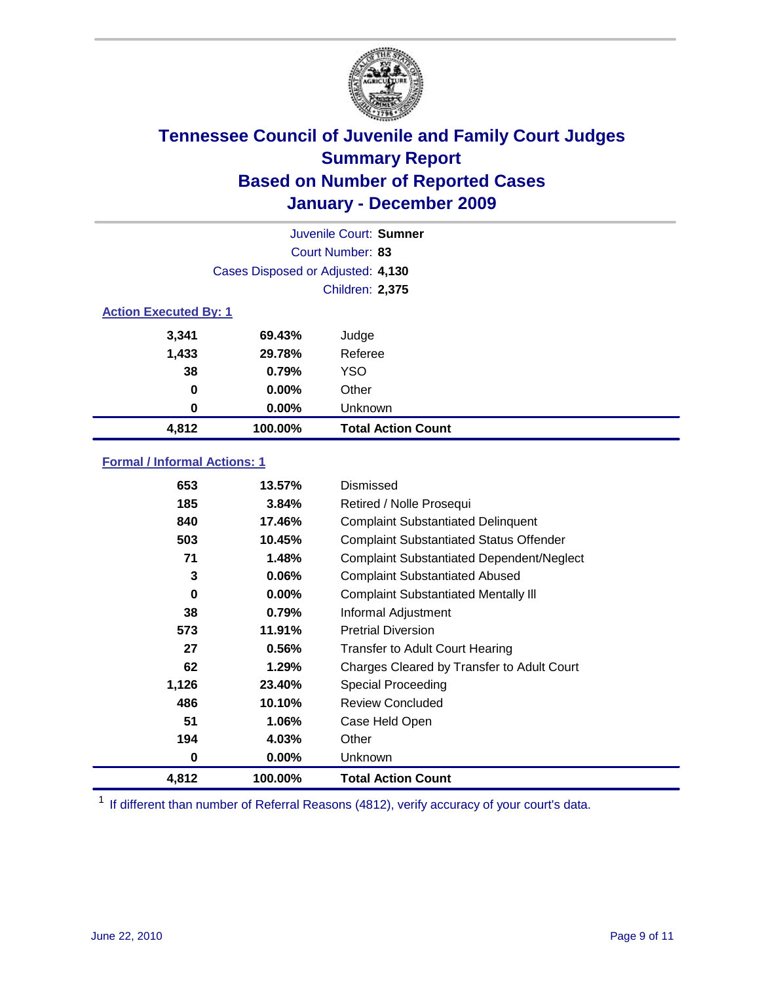

| Juvenile Court: Sumner       |                                   |                           |  |  |
|------------------------------|-----------------------------------|---------------------------|--|--|
|                              | Court Number: 83                  |                           |  |  |
|                              | Cases Disposed or Adjusted: 4,130 |                           |  |  |
|                              |                                   | <b>Children: 2,375</b>    |  |  |
| <b>Action Executed By: 1</b> |                                   |                           |  |  |
| 3,341                        | 69.43%                            | Judge                     |  |  |
| 1,433                        | 29.78%                            | Referee                   |  |  |
| 38                           | 0.79%                             | <b>YSO</b>                |  |  |
| $\bf{0}$                     | $0.00\%$                          | Other                     |  |  |
| 0                            | $0.00\%$                          | Unknown                   |  |  |
| 4,812                        | 100.00%                           | <b>Total Action Count</b> |  |  |

### **Formal / Informal Actions: 1**

| 653   | 13.57%   | Dismissed                                        |
|-------|----------|--------------------------------------------------|
| 185   | 3.84%    | Retired / Nolle Prosequi                         |
| 840   | 17.46%   | <b>Complaint Substantiated Delinquent</b>        |
| 503   | 10.45%   | <b>Complaint Substantiated Status Offender</b>   |
| 71    | 1.48%    | <b>Complaint Substantiated Dependent/Neglect</b> |
| 3     | 0.06%    | <b>Complaint Substantiated Abused</b>            |
| 0     | $0.00\%$ | <b>Complaint Substantiated Mentally III</b>      |
| 38    | 0.79%    | Informal Adjustment                              |
| 573   | 11.91%   | <b>Pretrial Diversion</b>                        |
| 27    | 0.56%    | <b>Transfer to Adult Court Hearing</b>           |
| 62    | 1.29%    | Charges Cleared by Transfer to Adult Court       |
| 1,126 | 23.40%   | <b>Special Proceeding</b>                        |
| 486   | 10.10%   | <b>Review Concluded</b>                          |
| 51    | 1.06%    | Case Held Open                                   |
| 194   | 4.03%    | Other                                            |
| 0     | 0.00%    | <b>Unknown</b>                                   |
| 4,812 | 100.00%  | <b>Total Action Count</b>                        |

<sup>1</sup> If different than number of Referral Reasons (4812), verify accuracy of your court's data.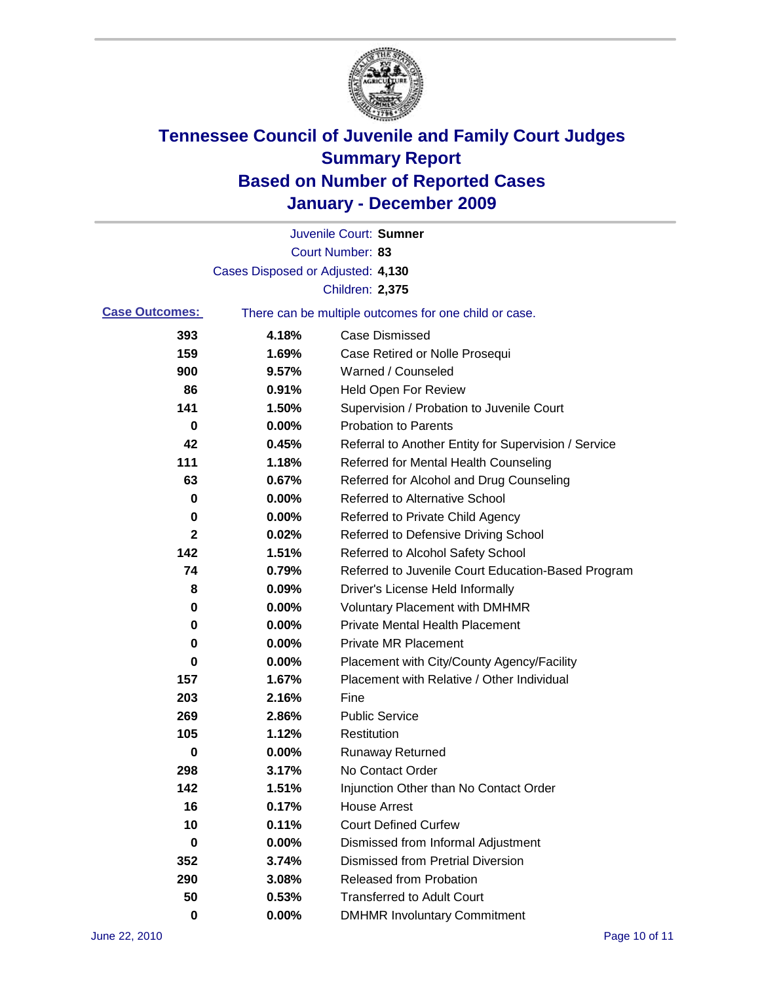

|                       |                                   | Juvenile Court: Sumner                                |
|-----------------------|-----------------------------------|-------------------------------------------------------|
|                       |                                   | Court Number: 83                                      |
|                       | Cases Disposed or Adjusted: 4,130 |                                                       |
|                       |                                   | Children: 2,375                                       |
| <b>Case Outcomes:</b> |                                   | There can be multiple outcomes for one child or case. |
| 393                   | 4.18%                             | <b>Case Dismissed</b>                                 |
| 159                   | 1.69%                             | Case Retired or Nolle Prosequi                        |
| 900                   | 9.57%                             | Warned / Counseled                                    |
| 86                    | 0.91%                             | <b>Held Open For Review</b>                           |
| 141                   | 1.50%                             | Supervision / Probation to Juvenile Court             |
| 0                     | 0.00%                             | <b>Probation to Parents</b>                           |
| 42                    | 0.45%                             | Referral to Another Entity for Supervision / Service  |
| 111                   | 1.18%                             | Referred for Mental Health Counseling                 |
| 63                    | 0.67%                             | Referred for Alcohol and Drug Counseling              |
| 0                     | 0.00%                             | <b>Referred to Alternative School</b>                 |
| 0                     | 0.00%                             | Referred to Private Child Agency                      |
| $\mathbf{2}$          | 0.02%                             | Referred to Defensive Driving School                  |
| 142                   | 1.51%                             | Referred to Alcohol Safety School                     |
| 74                    | 0.79%                             | Referred to Juvenile Court Education-Based Program    |
| 8                     | 0.09%                             | Driver's License Held Informally                      |
| 0                     | 0.00%                             | <b>Voluntary Placement with DMHMR</b>                 |
| 0                     | 0.00%                             | <b>Private Mental Health Placement</b>                |
| 0                     | 0.00%                             | <b>Private MR Placement</b>                           |
| 0                     | 0.00%                             | Placement with City/County Agency/Facility            |
| 157                   | 1.67%                             | Placement with Relative / Other Individual            |
| 203                   | 2.16%                             | Fine                                                  |
| 269                   | 2.86%                             | <b>Public Service</b>                                 |
| 105                   | 1.12%                             | Restitution                                           |
| 0                     | 0.00%                             | <b>Runaway Returned</b>                               |
| 298                   | 3.17%                             | No Contact Order                                      |
| 142                   | 1.51%                             | Injunction Other than No Contact Order                |
| 16                    | 0.17%                             | <b>House Arrest</b>                                   |
| 10                    | 0.11%                             | <b>Court Defined Curfew</b>                           |
| 0                     | 0.00%                             | Dismissed from Informal Adjustment                    |
| 352                   | 3.74%                             | <b>Dismissed from Pretrial Diversion</b>              |
| 290                   | 3.08%                             | Released from Probation                               |
| 50                    | 0.53%                             | <b>Transferred to Adult Court</b>                     |
| $\pmb{0}$             | $0.00\%$                          | <b>DMHMR Involuntary Commitment</b>                   |